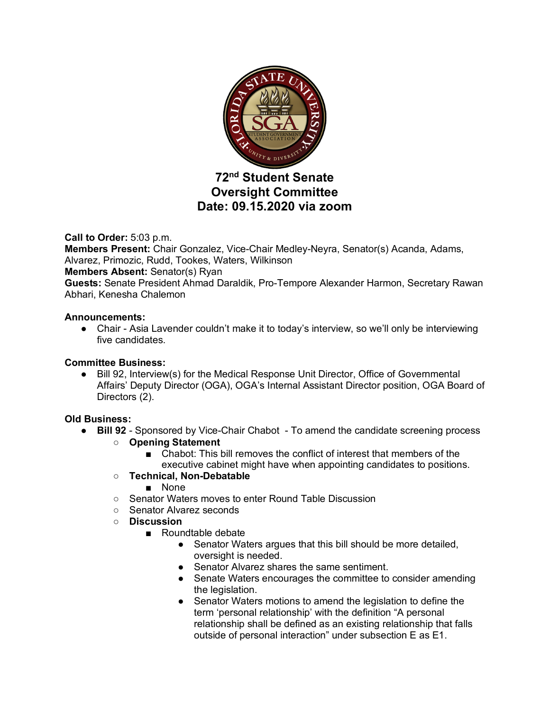

# **72nd Student Senate Oversight Committee Date: 09.15.2020 via zoom**

**Call to Order:** 5:03 p.m.

**Members Present:** Chair Gonzalez, Vice-Chair Medley-Neyra, Senator(s) Acanda, Adams, Alvarez, Primozic, Rudd, Tookes, Waters, Wilkinson

## **Members Absent:** Senator(s) Ryan

**Guests:** Senate President Ahmad Daraldik, Pro-Tempore Alexander Harmon, Secretary Rawan Abhari, Kenesha Chalemon

### **Announcements:**

● Chair - Asia Lavender couldn't make it to today's interview, so we'll only be interviewing five candidates.

## **Committee Business:**

● Bill 92, Interview(s) for the Medical Response Unit Director, Office of Governmental Affairs' Deputy Director (OGA), OGA's Internal Assistant Director position, OGA Board of Directors (2).

## **Old Business:**

- **Bill 92** Sponsored by Vice-Chair Chabot To amend the candidate screening process
	- **Opening Statement**
		- Chabot: This bill removes the conflict of interest that members of the executive cabinet might have when appointing candidates to positions.

## ○ **Technical, Non-Debatable**

- None
- Senator Waters moves to enter Round Table Discussion
- Senator Alvarez seconds
- **Discussion**
	- Roundtable debate
		- Senator Waters argues that this bill should be more detailed, oversight is needed.
		- Senator Alvarez shares the same sentiment.
		- Senate Waters encourages the committee to consider amending the legislation.
		- Senator Waters motions to amend the legislation to define the term 'personal relationship' with the definition "A personal relationship shall be defined as an existing relationship that falls outside of personal interaction" under subsection E as E1.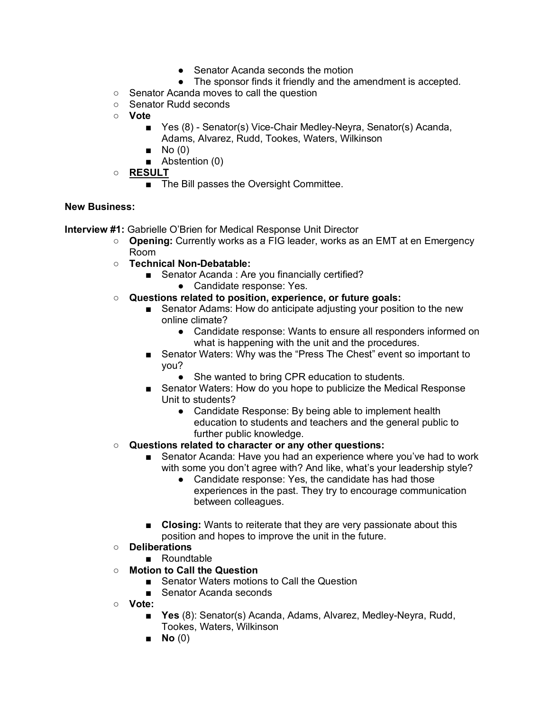- Senator Acanda seconds the motion
- The sponsor finds it friendly and the amendment is accepted.
- Senator Acanda moves to call the question
- Senator Rudd seconds
- **Vote**
	- Yes (8) Senator(s) Vice-Chair Medley-Neyra, Senator(s) Acanda, Adams, Alvarez, Rudd, Tookes, Waters, Wilkinson
	- $\blacksquare$  No (0)
	- Abstention (0)
- **RESULT**
	- The Bill passes the Oversight Committee.

### **New Business:**

**Interview #1:** Gabrielle O'Brien for Medical Response Unit Director

- **Opening:** Currently works as a FIG leader, works as an EMT at en Emergency Room
- **Technical Non-Debatable:**
	- Senator Acanda : Are you financially certified?
		- Candidate response: Yes.
- **Questions related to position, experience, or future goals:**
	- Senator Adams: How do anticipate adjusting your position to the new online climate?
		- Candidate response: Wants to ensure all responders informed on what is happening with the unit and the procedures.
	- Senator Waters: Why was the "Press The Chest" event so important to you?
		- She wanted to bring CPR education to students.
	- Senator Waters: How do you hope to publicize the Medical Response Unit to students?
		- Candidate Response: By being able to implement health education to students and teachers and the general public to further public knowledge.
- **Questions related to character or any other questions:**
	- Senator Acanda: Have you had an experience where you've had to work with some you don't agree with? And like, what's your leadership style?
		- Candidate response: Yes, the candidate has had those experiences in the past. They try to encourage communication between colleagues.
	- **Closing:** Wants to reiterate that they are very passionate about this position and hopes to improve the unit in the future.
- **Deliberations**
	- Roundtable
- **Motion to Call the Question**
	- Senator Waters motions to Call the Question
	- Senator Acanda seconds
- **Vote:**
	- **Yes** (8): Senator(s) Acanda, Adams, Alvarez, Medley-Neyra, Rudd, Tookes, Waters, Wilkinson
	- **No** (0)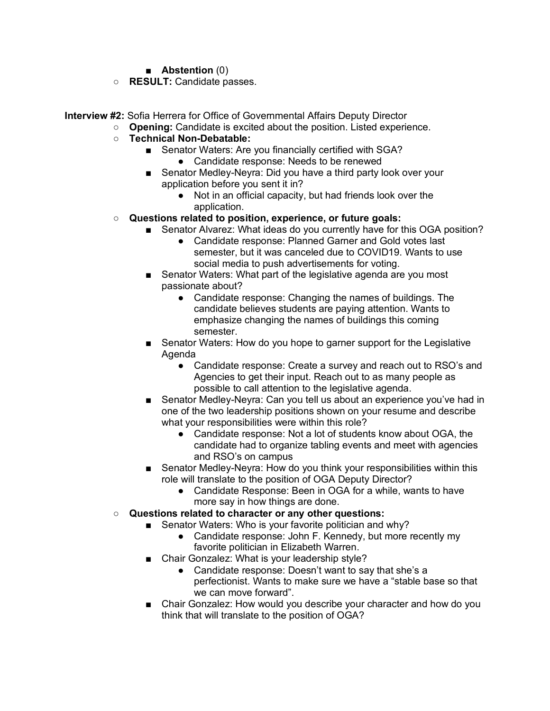- **Abstention** (0)
- **RESULT:** Candidate passes.

**Interview #2:** Sofia Herrera for Office of Governmental Affairs Deputy Director

- **Opening:** Candidate is excited about the position. Listed experience.
	- **Technical Non-Debatable:**
		- Senator Waters: Are you financially certified with SGA?
			- Candidate response: Needs to be renewed
		- Senator Medley-Neyra: Did you have a third party look over your application before you sent it in?
			- Not in an official capacity, but had friends look over the application.
	- **Questions related to position, experience, or future goals:**
		- Senator Alvarez: What ideas do you currently have for this OGA position?
			- Candidate response: Planned Garner and Gold votes last semester, but it was canceled due to COVID19. Wants to use social media to push advertisements for voting.
		- Senator Waters: What part of the legislative agenda are you most passionate about?
			- Candidate response: Changing the names of buildings. The candidate believes students are paying attention. Wants to emphasize changing the names of buildings this coming semester.
		- Senator Waters: How do you hope to garner support for the Legislative Agenda
			- Candidate response: Create a survey and reach out to RSO's and Agencies to get their input. Reach out to as many people as possible to call attention to the legislative agenda.
		- Senator Medley-Neyra: Can you tell us about an experience you've had in one of the two leadership positions shown on your resume and describe what your responsibilities were within this role?
			- Candidate response: Not a lot of students know about OGA, the candidate had to organize tabling events and meet with agencies and RSO's on campus
		- Senator Medley-Neyra: How do you think your responsibilities within this role will translate to the position of OGA Deputy Director?
			- Candidate Response: Been in OGA for a while, wants to have more say in how things are done.
	- **Questions related to character or any other questions:**
		- Senator Waters: Who is your favorite politician and why?
			- Candidate response: John F. Kennedy, but more recently my favorite politician in Elizabeth Warren.
		- Chair Gonzalez: What is your leadership style?
			- Candidate response: Doesn't want to say that she's a perfectionist. Wants to make sure we have a "stable base so that we can move forward".
		- Chair Gonzalez: How would you describe your character and how do you think that will translate to the position of OGA?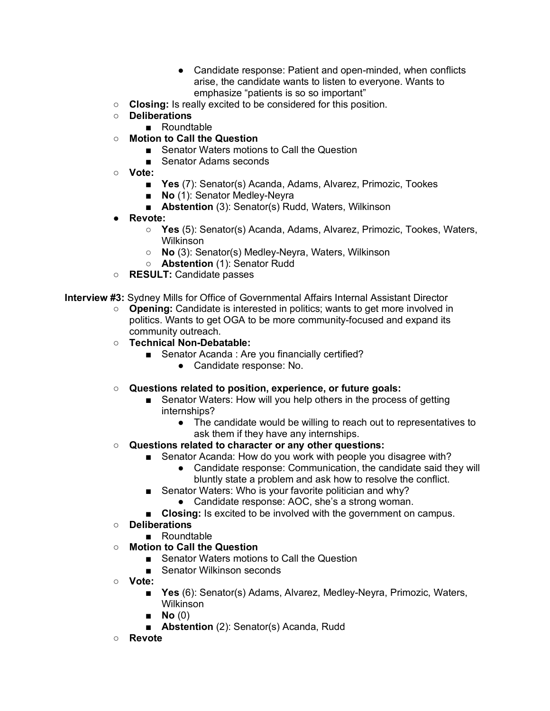- Candidate response: Patient and open-minded, when conflicts arise, the candidate wants to listen to everyone. Wants to emphasize "patients is so so important"
- **Closing:** Is really excited to be considered for this position.
- **Deliberations**
	- Roundtable
- **Motion to Call the Question**
	- Senator Waters motions to Call the Question
	- Senator Adams seconds
- **Vote:**
	- **Yes** (7): Senator(s) Acanda, Adams, Alvarez, Primozic, Tookes
	- **No** (1): Senator Medley-Neyra
	- **Abstention** (3): Senator(s) Rudd, Waters, Wilkinson
- **Revote:**
	- **Yes** (5): Senator(s) Acanda, Adams, Alvarez, Primozic, Tookes, Waters, Wilkinson
	- **No** (3): Senator(s) Medley-Neyra, Waters, Wilkinson
	- **Abstention** (1): Senator Rudd
- **RESULT:** Candidate passes

**Interview #3:** Sydney Mills for Office of Governmental Affairs Internal Assistant Director

- **Opening:** Candidate is interested in politics; wants to get more involved in politics. Wants to get OGA to be more community-focused and expand its community outreach.
- **Technical Non-Debatable:**
	- Senator Acanda : Are you financially certified?
		- Candidate response: No.
- **Questions related to position, experience, or future goals:**
	- Senator Waters: How will you help others in the process of getting internships?
		- The candidate would be willing to reach out to representatives to ask them if they have any internships.
- **Questions related to character or any other questions:**
	- Senator Acanda: How do you work with people you disagree with?
		- Candidate response: Communication, the candidate said they will bluntly state a problem and ask how to resolve the conflict.
	- Senator Waters: Who is your favorite politician and why?
		- Candidate response: AOC, she's a strong woman.
	- **Closing:** Is excited to be involved with the government on campus.
- **Deliberations**
	- Roundtable
- **Motion to Call the Question**
	- Senator Waters motions to Call the Question
	- Senator Wilkinson seconds
- **Vote:**
	- **Yes** (6): Senator(s) Adams, Alvarez, Medley-Neyra, Primozic, Waters, Wilkinson
	- **No** (0)
	- **Abstention** (2): Senator(s) Acanda, Rudd
- **Revote**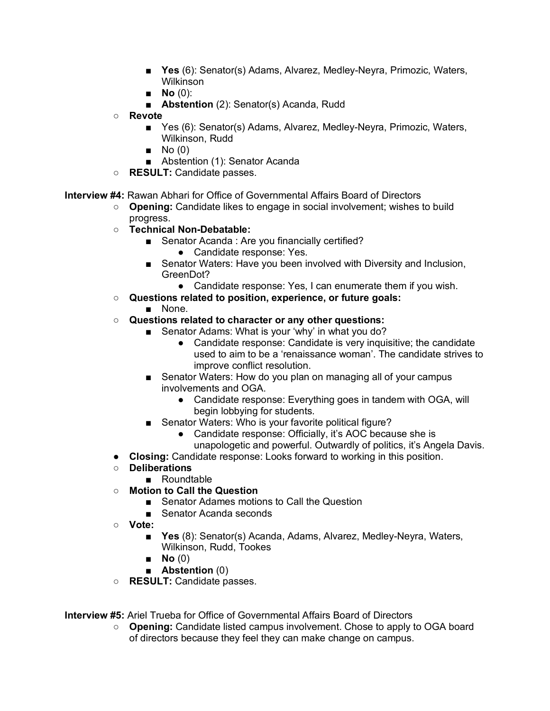- **Yes** (6): Senator(s) Adams, Alvarez, Medley-Neyra, Primozic, Waters, Wilkinson
- **No** (0):
- **Abstention** (2): Senator(s) Acanda, Rudd
- **Revote**
	- Yes (6): Senator(s) Adams, Alvarez, Medley-Neyra, Primozic, Waters, Wilkinson, Rudd
	- $\blacksquare$  No (0)
	- Abstention (1): Senator Acanda
- **RESULT:** Candidate passes.

**Interview #4:** Rawan Abhari for Office of Governmental Affairs Board of Directors

- **Opening:** Candidate likes to engage in social involvement; wishes to build progress.
- **Technical Non-Debatable:**
	- Senator Acanda : Are you financially certified?
		- Candidate response: Yes.
	- Senator Waters: Have you been involved with Diversity and Inclusion, GreenDot?
		- Candidate response: Yes, I can enumerate them if you wish.
- **Questions related to position, experience, or future goals:**
	- None.
- **Questions related to character or any other questions:**
	- Senator Adams: What is your 'why' in what you do?
		- Candidate response: Candidate is very inquisitive; the candidate used to aim to be a 'renaissance woman'. The candidate strives to improve conflict resolution.
	- Senator Waters: How do you plan on managing all of your campus involvements and OGA.
		- Candidate response: Everything goes in tandem with OGA, will begin lobbying for students.
	- Senator Waters: Who is your favorite political figure?
		- Candidate response: Officially, it's AOC because she is unapologetic and powerful. Outwardly of politics, it's Angela Davis.
- **Closing:** Candidate response: Looks forward to working in this position.
- **Deliberations**
	- Roundtable
- **Motion to Call the Question**
	- Senator Adames motions to Call the Question
	- Senator Acanda seconds
- **Vote:**
	- **Yes** (8): Senator(s) Acanda, Adams, Alvarez, Medley-Neyra, Waters, Wilkinson, Rudd, Tookes
	- **No** (0)
	- **Abstention** (0)
- **RESULT:** Candidate passes.

**Interview #5:** Ariel Trueba for Office of Governmental Affairs Board of Directors

○ **Opening:** Candidate listed campus involvement. Chose to apply to OGA board of directors because they feel they can make change on campus.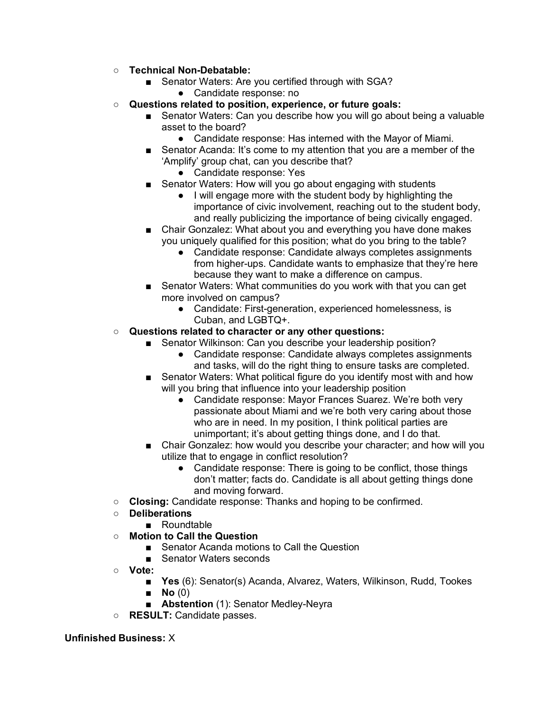- **Technical Non-Debatable:**
	- Senator Waters: Are you certified through with SGA?
		- Candidate response: no
- **Questions related to position, experience, or future goals:**
	- Senator Waters: Can you describe how you will go about being a valuable asset to the board?
		- Candidate response: Has interned with the Mayor of Miami.
	- Senator Acanda: It's come to my attention that you are a member of the 'Amplify' group chat, can you describe that?
		- Candidate response: Yes
	- Senator Waters: How will you go about engaging with students
		- I will engage more with the student body by highlighting the importance of civic involvement, reaching out to the student body, and really publicizing the importance of being civically engaged.
	- Chair Gonzalez: What about you and everything you have done makes you uniquely qualified for this position; what do you bring to the table?
		- Candidate response: Candidate always completes assignments from higher-ups. Candidate wants to emphasize that they're here because they want to make a difference on campus.
	- Senator Waters: What communities do you work with that you can get more involved on campus?
		- Candidate: First-generation, experienced homelessness, is Cuban, and LGBTQ+.
- **Questions related to character or any other questions:**
	- Senator Wilkinson: Can you describe your leadership position?
		- Candidate response: Candidate always completes assignments and tasks, will do the right thing to ensure tasks are completed.
	- Senator Waters: What political figure do you identify most with and how will you bring that influence into your leadership position
		- Candidate response: Mayor Frances Suarez. We're both very passionate about Miami and we're both very caring about those who are in need. In my position, I think political parties are unimportant; it's about getting things done, and I do that.
	- Chair Gonzalez: how would you describe your character; and how will you utilize that to engage in conflict resolution?
		- Candidate response: There is going to be conflict, those things don't matter; facts do. Candidate is all about getting things done and moving forward.
- **Closing:** Candidate response: Thanks and hoping to be confirmed.
- **Deliberations**
	- Roundtable
- **Motion to Call the Question**
	- Senator Acanda motions to Call the Question
	- Senator Waters seconds
- **Vote:**
	- **Yes** (6): Senator(s) Acanda, Alvarez, Waters, Wilkinson, Rudd, Tookes
	- **No** (0)
	- **Abstention** (1): Senator Medley-Neyra
- **RESULT:** Candidate passes.

### **Unfinished Business:** X